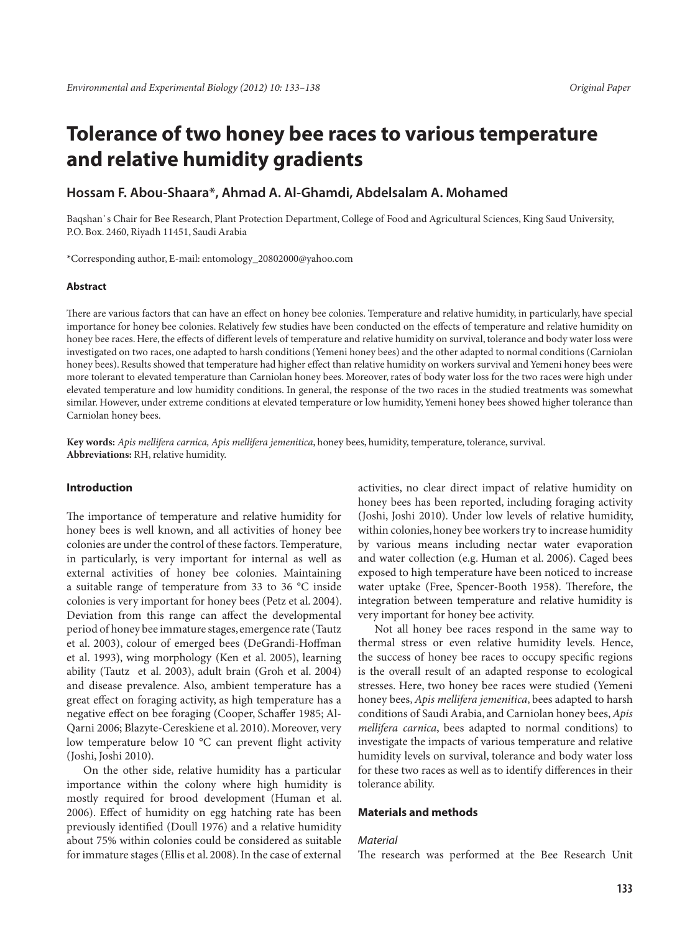# **Tolerance of two honey bee races to various temperature and relative humidity gradients**

# **Hossam F. Abou-Shaara\*, Ahmad A. Al-Ghamdi, Abdelsalam A. Mohamed**

Baqshan`s Chair for Bee Research, Plant Protection Department, College of Food and Agricultural Sciences, King Saud University, P.O. Box. 2460, Riyadh 11451, Saudi Arabia

\*Corresponding author, E-mail: entomology\_20802000@yahoo.com

## **Abstract**

There are various factors that can have an effect on honey bee colonies. Temperature and relative humidity, in particularly, have special importance for honey bee colonies. Relatively few studies have been conducted on the effects of temperature and relative humidity on honey bee races. Here, the effects of different levels of temperature and relative humidity on survival, tolerance and body water loss were investigated on two races, one adapted to harsh conditions (Yemeni honey bees) and the other adapted to normal conditions (Carniolan honey bees). Results showed that temperature had higher effect than relative humidity on workers survival and Yemeni honey bees were more tolerant to elevated temperature than Carniolan honey bees. Moreover, rates of body water loss for the two races were high under elevated temperature and low humidity conditions. In general, the response of the two races in the studied treatments was somewhat similar. However, under extreme conditions at elevated temperature or low humidity, Yemeni honey bees showed higher tolerance than Carniolan honey bees.

**Key words:** *Apis mellifera carnica, Apis mellifera jemenitica*, honey bees, humidity, temperature, tolerance, survival. **Abbreviations:** RH, relative humidity.

## **Introduction**

The importance of temperature and relative humidity for honey bees is well known, and all activities of honey bee colonies are under the control of these factors. Temperature, in particularly, is very important for internal as well as external activities of honey bee colonies. Maintaining a suitable range of temperature from 33 to 36 °C inside colonies is very important for honey bees (Petz et al. 2004). Deviation from this range can affect the developmental period of honey bee immature stages, emergence rate (Tautz et al. 2003), colour of emerged bees (DeGrandi-Hoffman et al. 1993), wing morphology (Ken et al. 2005), learning ability (Tautz et al. 2003), adult brain (Groh et al. 2004) and disease prevalence. Also, ambient temperature has a great effect on foraging activity, as high temperature has a negative effect on bee foraging (Cooper, Schaffer 1985; Al-Qarni 2006; Blazyte-Cereskiene et al. 2010). Moreover, very low temperature below 10 °C can prevent flight activity (Joshi, Joshi 2010).

On the other side, relative humidity has a particular importance within the colony where high humidity is mostly required for brood development (Human et al. 2006). Effect of humidity on egg hatching rate has been previously identified (Doull 1976) and a relative humidity about 75% within colonies could be considered as suitable for immature stages (Ellis et al. 2008). In the case of external

activities, no clear direct impact of relative humidity on honey bees has been reported, including foraging activity (Joshi, Joshi 2010). Under low levels of relative humidity, within colonies, honey bee workers try to increase humidity by various means including nectar water evaporation and water collection (e.g. Human et al. 2006). Caged bees exposed to high temperature have been noticed to increase water uptake (Free, Spencer-Booth 1958). Therefore, the integration between temperature and relative humidity is very important for honey bee activity.

Not all honey bee races respond in the same way to thermal stress or even relative humidity levels. Hence, the success of honey bee races to occupy specific regions is the overall result of an adapted response to ecological stresses. Here, two honey bee races were studied (Yemeni honey bees, *Apis mellifera jemenitica*, bees adapted to harsh conditions of Saudi Arabia, and Carniolan honey bees, *Apis mellifera carnica*, bees adapted to normal conditions) to investigate the impacts of various temperature and relative humidity levels on survival, tolerance and body water loss for these two races as well as to identify differences in their tolerance ability.

## **Materials and methods**

## *Material*

The research was performed at the Bee Research Unit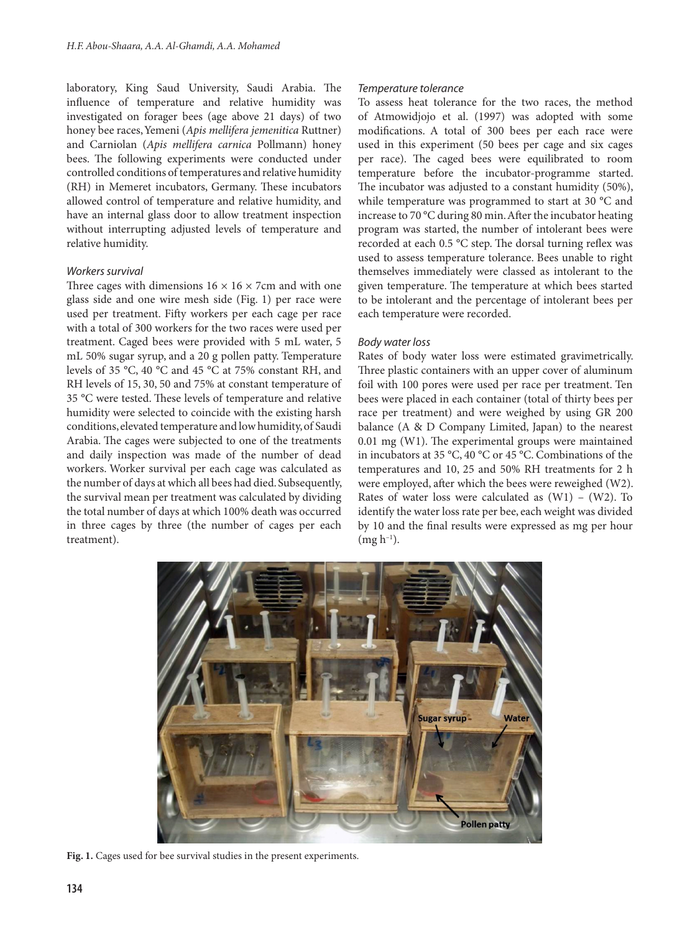laboratory, King Saud University, Saudi Arabia. The influence of temperature and relative humidity was investigated on forager bees (age above 21 days) of two honey bee races, Yemeni (*Apis mellifera jemenitica* Ruttner) and Carniolan (*Apis mellifera carnica* Pollmann) honey bees. The following experiments were conducted under controlled conditions of temperatures and relative humidity (RH) in Memeret incubators, Germany. These incubators allowed control of temperature and relative humidity, and have an internal glass door to allow treatment inspection without interrupting adjusted levels of temperature and relative humidity.

# *Workers survival*

Three cages with dimensions  $16 \times 16 \times 7$ cm and with one glass side and one wire mesh side (Fig. 1) per race were used per treatment. Fifty workers per each cage per race with a total of 300 workers for the two races were used per treatment. Caged bees were provided with 5 mL water, 5 mL 50% sugar syrup, and a 20 g pollen patty. Temperature levels of 35 °C, 40 °C and 45 °C at 75% constant RH, and RH levels of 15, 30, 50 and 75% at constant temperature of 35 °C were tested. These levels of temperature and relative humidity were selected to coincide with the existing harsh conditions, elevated temperature and low humidity, of Saudi Arabia. The cages were subjected to one of the treatments and daily inspection was made of the number of dead workers. Worker survival per each cage was calculated as the number of days at which all bees had died. Subsequently, the survival mean per treatment was calculated by dividing the total number of days at which 100% death was occurred in three cages by three (the number of cages per each treatment).

#### *Temperature tolerance*

To assess heat tolerance for the two races, the method of Atmowidjojo et al. (1997) was adopted with some modifications. A total of 300 bees per each race were used in this experiment (50 bees per cage and six cages per race). The caged bees were equilibrated to room temperature before the incubator-programme started. The incubator was adjusted to a constant humidity (50%), while temperature was programmed to start at 30 °C and increase to 70 °C during 80 min. After the incubator heating program was started, the number of intolerant bees were recorded at each 0.5 °C step. The dorsal turning reflex was used to assess temperature tolerance. Bees unable to right themselves immediately were classed as intolerant to the given temperature. The temperature at which bees started to be intolerant and the percentage of intolerant bees per each temperature were recorded.

#### *Body water loss*

Rates of body water loss were estimated gravimetrically. Three plastic containers with an upper cover of aluminum foil with 100 pores were used per race per treatment. Ten bees were placed in each container (total of thirty bees per race per treatment) and were weighed by using GR 200 balance (A & D Company Limited, Japan) to the nearest 0.01 mg (W1). The experimental groups were maintained in incubators at 35 °C, 40 °C or 45 °C. Combinations of the temperatures and 10, 25 and 50% RH treatments for 2 h were employed, after which the bees were reweighed (W2). Rates of water loss were calculated as  $(W1) - (W2)$ . To identify the water loss rate per bee, each weight was divided by 10 and the final results were expressed as mg per hour  $(mg h^{-1})$ .



**Fig. 1.** Cages used for bee survival studies in the present experiments.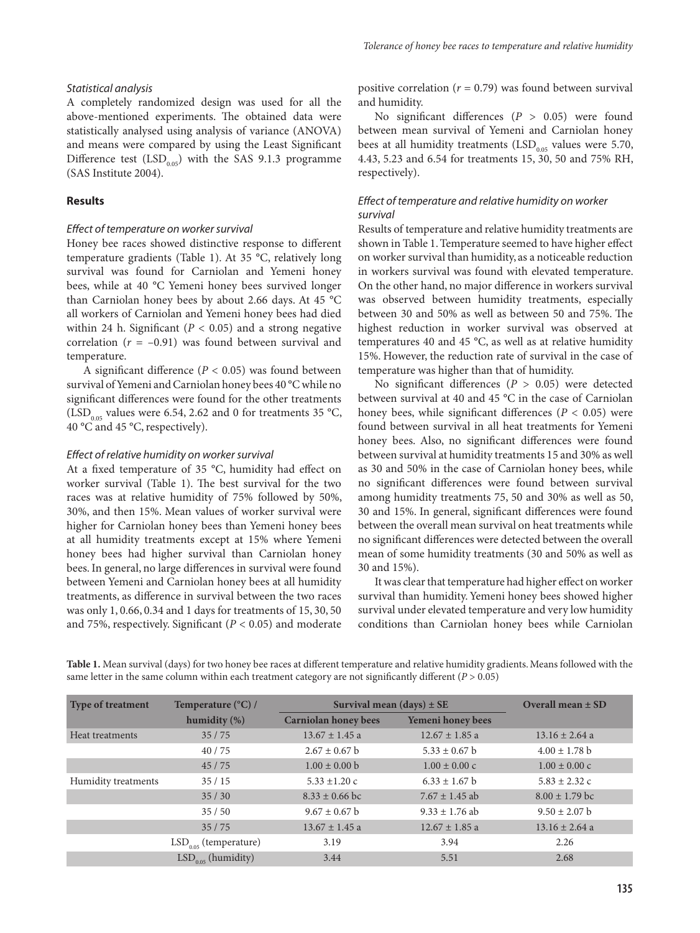#### *Statistical analysis*

A completely randomized design was used for all the above-mentioned experiments. The obtained data were statistically analysed using analysis of variance (ANOVA) and means were compared by using the Least Significant Difference test  $(LSD<sub>0.05</sub>)$  with the SAS 9.1.3 programme (SAS Institute 2004).

#### **Results**

## *Effect of temperature on worker survival*

Honey bee races showed distinctive response to different temperature gradients (Table 1). At 35 °C, relatively long survival was found for Carniolan and Yemeni honey bees, while at 40 °C Yemeni honey bees survived longer than Carniolan honey bees by about 2.66 days. At 45 °C all workers of Carniolan and Yemeni honey bees had died within 24 h. Significant ( $P < 0.05$ ) and a strong negative correlation  $(r = -0.91)$  was found between survival and temperature.

A significant difference (*P* < 0.05) was found between survival of Yemeni and Carniolan honey bees 40 °C while no significant differences were found for the other treatments  $(LSD<sub>0.05</sub>$  values were 6.54, 2.62 and 0 for treatments 35 °C, 40 °C and 45 °C, respectively).

## *Effect of relative humidity on worker survival*

At a fixed temperature of 35 °C, humidity had effect on worker survival (Table 1). The best survival for the two races was at relative humidity of 75% followed by 50%, 30%, and then 15%. Mean values of worker survival were higher for Carniolan honey bees than Yemeni honey bees at all humidity treatments except at 15% where Yemeni honey bees had higher survival than Carniolan honey bees. In general, no large differences in survival were found between Yemeni and Carniolan honey bees at all humidity treatments, as difference in survival between the two races was only 1, 0.66, 0.34 and 1 days for treatments of 15, 30, 50 and 75%, respectively. Significant (*P* < 0.05) and moderate positive correlation (*r* = 0.79) was found between survival and humidity.

No significant differences (*P* > 0.05) were found between mean survival of Yemeni and Carniolan honey bees at all humidity treatments  $(LSD<sub>0.05</sub>$  values were 5.70, 4.43, 5.23 and 6.54 for treatments 15, 30, 50 and 75% RH, respectively).

# *Effect of temperature and relative humidity on worker survival*

Results of temperature and relative humidity treatments are shown in Table 1. Temperature seemed to have higher effect on worker survival than humidity, as a noticeable reduction in workers survival was found with elevated temperature. On the other hand, no major difference in workers survival was observed between humidity treatments, especially between 30 and 50% as well as between 50 and 75%. The highest reduction in worker survival was observed at temperatures 40 and 45 °C, as well as at relative humidity 15%. However, the reduction rate of survival in the case of temperature was higher than that of humidity.

No significant differences (*P* > 0.05) were detected between survival at 40 and 45 °C in the case of Carniolan honey bees, while significant differences (*P* < 0.05) were found between survival in all heat treatments for Yemeni honey bees. Also, no significant differences were found between survival at humidity treatments 15 and 30% as well as 30 and 50% in the case of Carniolan honey bees, while no significant differences were found between survival among humidity treatments 75, 50 and 30% as well as 50, 30 and 15%. In general, significant differences were found between the overall mean survival on heat treatments while no significant differences were detected between the overall mean of some humidity treatments (30 and 50% as well as 30 and 15%).

It was clear that temperature had higher effect on worker survival than humidity. Yemeni honey bees showed higher survival under elevated temperature and very low humidity conditions than Carniolan honey bees while Carniolan

| <b>Type of treatment</b> | Temperature $(^{\circ}C)$ / | Survival mean $(days) \pm SE$ | Overall mean $\pm$ SD     |                           |
|--------------------------|-----------------------------|-------------------------------|---------------------------|---------------------------|
|                          | humidity $(\%)$             | <b>Carniolan honey bees</b>   | Yemeni honey bees         |                           |
| Heat treatments          | 35/75                       | $13.67 \pm 1.45$ a            | $12.67 \pm 1.85$ a        | $13.16 \pm 2.64$ a        |
|                          | 40/75                       | $2.67 \pm 0.67$ b             | $5.33 \pm 0.67$ b         | $4.00 \pm 1.78$ b         |
|                          | 45/75                       | $1.00 \pm 0.00$ b             | $1.00 \pm 0.00 \text{ c}$ | $1.00 \pm 0.00 \text{ c}$ |
| Humidity treatments      | 35/15                       | $5.33 \pm 1.20$ c             | $6.33 \pm 1.67$ b         | $5.83 \pm 2.32$ c         |
|                          | 35/30                       | $8.33 \pm 0.66$ bc            | $7.67 \pm 1.45$ ab        | $8.00 \pm 1.79$ bc        |
|                          | 35/50                       | $9.67 \pm 0.67$ b             | $9.33 \pm 1.76$ ab        | $9.50 \pm 2.07$ b         |
|                          | 35/75                       | $13.67 \pm 1.45$ a            | $12.67 \pm 1.85$ a        | $13.16 \pm 2.64$ a        |
|                          | $LSD0.05$ (temperature)     | 3.19                          | 3.94                      | 2.26                      |
|                          | $LSD0.05$ (humidity)        | 3.44                          | 5.51                      | 2.68                      |

**Table 1.** Mean survival (days) for two honey bee races at different temperature and relative humidity gradients. Means followed with the same letter in the same column within each treatment category are not significantly different (*P* > 0.05)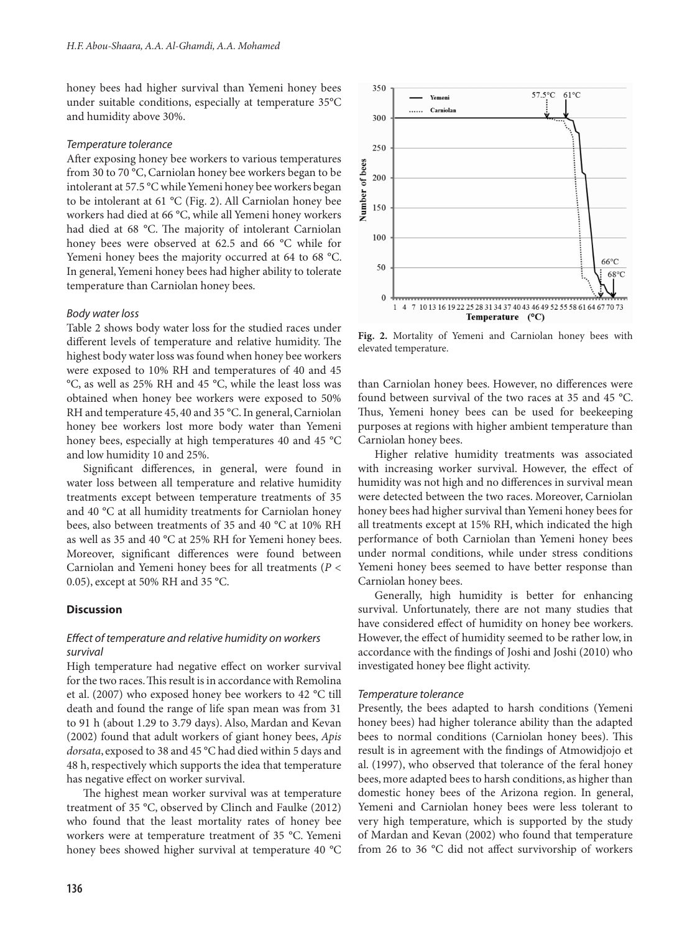honey bees had higher survival than Yemeni honey bees under suitable conditions, especially at temperature 35°C and humidity above 30%.

## *Temperature tolerance*

After exposing honey bee workers to various temperatures from 30 to 70 °C, Carniolan honey bee workers began to be intolerant at 57.5 °C while Yemeni honey bee workers began to be intolerant at 61 °C (Fig. 2). All Carniolan honey bee workers had died at 66 °C, while all Yemeni honey workers had died at 68 °C. The majority of intolerant Carniolan honey bees were observed at 62.5 and 66 °C while for Yemeni honey bees the majority occurred at 64 to 68 °C. In general, Yemeni honey bees had higher ability to tolerate temperature than Carniolan honey bees.

## *Body water loss*

Table 2 shows body water loss for the studied races under different levels of temperature and relative humidity. The highest body water loss was found when honey bee workers were exposed to 10% RH and temperatures of 40 and 45 °C, as well as 25% RH and 45 °C, while the least loss was obtained when honey bee workers were exposed to 50% RH and temperature 45, 40 and 35 °C. In general, Carniolan honey bee workers lost more body water than Yemeni honey bees, especially at high temperatures 40 and 45 °C and low humidity 10 and 25%.

Significant differences, in general, were found in water loss between all temperature and relative humidity treatments except between temperature treatments of 35 and 40 °C at all humidity treatments for Carniolan honey bees, also between treatments of 35 and 40 °C at 10% RH as well as 35 and 40 °C at 25% RH for Yemeni honey bees. Moreover, significant differences were found between Carniolan and Yemeni honey bees for all treatments (*P* < 0.05), except at 50% RH and 35 °C.

## **Discussion**

# *Effect of temperature and relative humidity on workers survival*

High temperature had negative effect on worker survival for the two races. This result is in accordance with Remolina et al. (2007) who exposed honey bee workers to 42 °C till death and found the range of life span mean was from 31 to 91 h (about 1.29 to 3.79 days). Also, Mardan and Kevan (2002) found that adult workers of giant honey bees, *Apis dorsata*, exposed to 38 and 45 °C had died within 5 days and 48 h, respectively which supports the idea that temperature has negative effect on worker survival.

The highest mean worker survival was at temperature treatment of 35 °C, observed by Clinch and Faulke (2012) who found that the least mortality rates of honey bee workers were at temperature treatment of 35 °C. Yemeni honey bees showed higher survival at temperature 40 °C



**Fig. 2.** Mortality of Yemeni and Carniolan honey bees with elevated temperature.

than Carniolan honey bees. However, no differences were found between survival of the two races at 35 and 45 °C. Thus, Yemeni honey bees can be used for beekeeping purposes at regions with higher ambient temperature than Carniolan honey bees.

Higher relative humidity treatments was associated with increasing worker survival. However, the effect of humidity was not high and no differences in survival mean were detected between the two races. Moreover, Carniolan honey bees had higher survival than Yemeni honey bees for all treatments except at 15% RH, which indicated the high performance of both Carniolan than Yemeni honey bees under normal conditions, while under stress conditions Yemeni honey bees seemed to have better response than Carniolan honey bees.

Generally, high humidity is better for enhancing survival. Unfortunately, there are not many studies that have considered effect of humidity on honey bee workers. However, the effect of humidity seemed to be rather low, in accordance with the findings of Joshi and Joshi (2010) who investigated honey bee flight activity.

## *Temperature tolerance*

Presently, the bees adapted to harsh conditions (Yemeni honey bees) had higher tolerance ability than the adapted bees to normal conditions (Carniolan honey bees). This result is in agreement with the findings of Atmowidjojo et al. (1997), who observed that tolerance of the feral honey bees, more adapted bees to harsh conditions, as higher than domestic honey bees of the Arizona region. In general, Yemeni and Carniolan honey bees were less tolerant to very high temperature, which is supported by the study of Mardan and Kevan (2002) who found that temperature from 26 to 36 °C did not affect survivorship of workers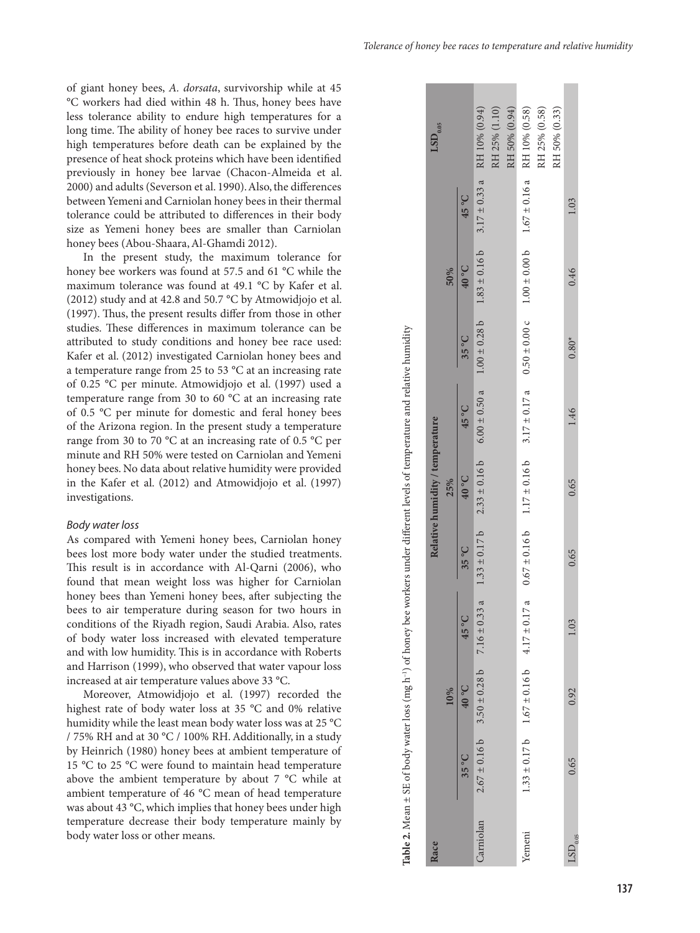of giant honey bees, *A. dorsata*, survivorship while at 45 °C workers had died within 48 h. Thus, honey bees have less tolerance ability to endure high temperatures for a long time. The ability of honey bee races to survive under high temperatures before death can be explained by the presence of heat shock proteins which have been identified previously in honey bee larvae (Chacon-Almeida et al. 2000) and adults (Severson et al. 1990). Also, the differences between Yemeni and Carniolan honey bees in their thermal tolerance could be attributed to differences in their body size as Yemeni honey bees are smaller than Carniolan honey bees (Abou-Shaara, Al-Ghamdi 2012).

In the present study, the maximum tolerance for honey bee workers was found at 57.5 and 61 °C while the maximum tolerance was found at 49.1 °C by Kafer et al. (2012) study and at 42.8 and 50.7 °C by Atmowidjojo et al. (1997). Thus, the present results differ from those in other studies. These differences in maximum tolerance can be attributed to study conditions and honey bee race used: Kafer et al. (2012) investigated Carniolan honey bees and a temperature range from 25 to 53 °C at an increasing rate of 0.25 °C per minute. Atmowidjojo et al. (1997) used a temperature range from 30 to 60 °C at an increasing rate of 0.5 °C per minute for domestic and feral honey bees of the Arizona region. In the present study a temperature range from 30 to 70 °C at an increasing rate of 0.5 °C per minute and RH 50% were tested on Carniolan and Yemeni honey bees. No data about relative humidity were provided in the Kafer et al. (2012) and Atmowidjojo et al. (1997) investigations.

#### *Body water loss*

As compared with Yemeni honey bees, Carniolan honey bees lost more body water under the studied treatments. This result is in accordance with Al-Qarni (2006), who found that mean weight loss was higher for Carniolan honey bees than Yemeni honey bees, after subjecting the bees to air temperature during season for two hours in conditions of the Riyadh region, Saudi Arabia. Also, rates of body water loss increased with elevated temperature and with low humidity. This is in accordance with Roberts and Harrison (1999), who observed that water vapour loss increased at air temperature values above 33 °C.

Moreover, Atmowidjojo et al. (1997) recorded the highest rate of body water loss at 35 °C and 0% relative humidity while the least mean body water loss was at 25 °C / 75% RH and at 30 °C / 100% RH. Additionally, in a study by Heinrich (1980) honey bees at ambient temperature of 15 °C to 25 °C were found to maintain head temperature above the ambient temperature by about 7 °C while at ambient temperature of 46 °C mean of head temperature was about 43 °C, which implies that honey bees under high temperature decrease their body temperature mainly by body water loss or other means.

|                                                                                                                                              | $\mathrm{LSD}_{_{0.05}}$        |     |                  | $3.17 \pm 0.33$ a RH 10% (0.94)                       | RH 25% (1.10) | RH 50% (0.94) | 1.33 ± 0.17 b 1.67 ± 0.16 4.17 ± 0.17 a 0.67 ± 0.16 1.17 ± 0.16 5 17 ± 0.17 a 0.50 ± 0.00 c 1.00 ± 0.00 b 1.67 ± 0.16 a RH 10% (0.58) | RH 25% (0.58) | RH 50% (0.33) |                          |
|----------------------------------------------------------------------------------------------------------------------------------------------|---------------------------------|-----|------------------|-------------------------------------------------------|---------------|---------------|---------------------------------------------------------------------------------------------------------------------------------------|---------------|---------------|--------------------------|
| Table 2. Mean ± SE of body water loss (mg h <sup>-1</sup> ) of honey bee workers under different levels of temperature and relative humidity |                                 | 50% | 45°C             |                                                       |               |               |                                                                                                                                       |               |               | 1.03                     |
|                                                                                                                                              |                                 |     | 0.0 <sub>b</sub> | $1.83 \pm 0.16$ b                                     |               |               |                                                                                                                                       |               |               | 0.46                     |
|                                                                                                                                              |                                 |     | $35^{\circ}C$    | $1.00 \pm 0.28$ b                                     |               |               |                                                                                                                                       |               |               | $0.80*$                  |
|                                                                                                                                              |                                 | 25% | 45 °C            | $6.00 \pm 0.50 a$                                     |               |               |                                                                                                                                       |               |               | 1.46                     |
|                                                                                                                                              | Relative humidity / temperature |     | 0.0 <sub>b</sub> | $2.33 \pm 0.16$ b                                     |               |               |                                                                                                                                       |               |               | 0.65                     |
|                                                                                                                                              |                                 |     | $35^{\circ}$ C   | $1.33 \pm 0.17$ b                                     |               |               |                                                                                                                                       |               |               | 0.65                     |
|                                                                                                                                              |                                 | 10% | 45°C             |                                                       |               |               |                                                                                                                                       |               |               | 1.03                     |
|                                                                                                                                              |                                 |     | 0.0 <sub>b</sub> | $2.67 \pm 0.16$ b 3.50 $\pm$ 0.28 b 7.16 $\pm$ 0.33 a |               |               |                                                                                                                                       |               |               | 0.92                     |
|                                                                                                                                              |                                 |     | $35^{\circ}C$    |                                                       |               |               |                                                                                                                                       |               |               | 0.65                     |
|                                                                                                                                              | Race                            |     |                  | Carniolan                                             |               |               | Yemeni                                                                                                                                |               |               | $\mathrm{LSD}_{_{0.05}}$ |